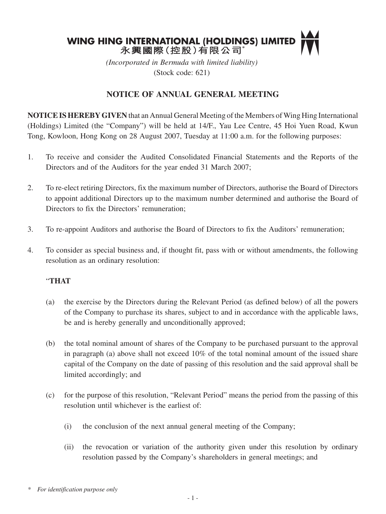

*(Incorporated in Bermuda with limited liability)* (Stock code: 621)

# **NOTICE OF ANNUAL GENERAL MEETING**

**NOTICE IS HEREBY GIVEN** that an Annual General Meeting of the Members of Wing Hing International (Holdings) Limited (the "Company") will be held at 14/F., Yau Lee Centre, 45 Hoi Yuen Road, Kwun Tong, Kowloon, Hong Kong on 28 August 2007, Tuesday at 11:00 a.m. for the following purposes:

- 1. To receive and consider the Audited Consolidated Financial Statements and the Reports of the Directors and of the Auditors for the year ended 31 March 2007;
- 2. To re-elect retiring Directors, fix the maximum number of Directors, authorise the Board of Directors to appoint additional Directors up to the maximum number determined and authorise the Board of Directors to fix the Directors' remuneration;
- 3. To re-appoint Auditors and authorise the Board of Directors to fix the Auditors' remuneration;
- 4. To consider as special business and, if thought fit, pass with or without amendments, the following resolution as an ordinary resolution:

#### "**THAT**

- (a) the exercise by the Directors during the Relevant Period (as defined below) of all the powers of the Company to purchase its shares, subject to and in accordance with the applicable laws, be and is hereby generally and unconditionally approved;
- (b) the total nominal amount of shares of the Company to be purchased pursuant to the approval in paragraph (a) above shall not exceed 10% of the total nominal amount of the issued share capital of the Company on the date of passing of this resolution and the said approval shall be limited accordingly; and
- (c) for the purpose of this resolution, "Relevant Period" means the period from the passing of this resolution until whichever is the earliest of:
	- (i) the conclusion of the next annual general meeting of the Company;
	- (ii) the revocation or variation of the authority given under this resolution by ordinary resolution passed by the Company's shareholders in general meetings; and

*<sup>\*</sup> For identification purpose only*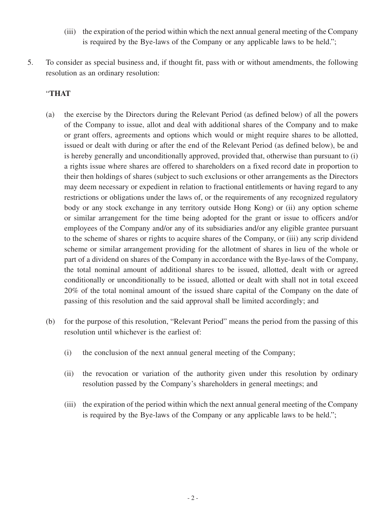- (iii) the expiration of the period within which the next annual general meeting of the Company is required by the Bye-laws of the Company or any applicable laws to be held.";
- 5. To consider as special business and, if thought fit, pass with or without amendments, the following resolution as an ordinary resolution:

### "**THAT**

- (a) the exercise by the Directors during the Relevant Period (as defined below) of all the powers of the Company to issue, allot and deal with additional shares of the Company and to make or grant offers, agreements and options which would or might require shares to be allotted, issued or dealt with during or after the end of the Relevant Period (as defined below), be and is hereby generally and unconditionally approved, provided that, otherwise than pursuant to (i) a rights issue where shares are offered to shareholders on a fixed record date in proportion to their then holdings of shares (subject to such exclusions or other arrangements as the Directors may deem necessary or expedient in relation to fractional entitlements or having regard to any restrictions or obligations under the laws of, or the requirements of any recognized regulatory body or any stock exchange in any territory outside Hong Kong) or (ii) any option scheme or similar arrangement for the time being adopted for the grant or issue to officers and/or employees of the Company and/or any of its subsidiaries and/or any eligible grantee pursuant to the scheme of shares or rights to acquire shares of the Company, or (iii) any scrip dividend scheme or similar arrangement providing for the allotment of shares in lieu of the whole or part of a dividend on shares of the Company in accordance with the Bye-laws of the Company, the total nominal amount of additional shares to be issued, allotted, dealt with or agreed conditionally or unconditionally to be issued, allotted or dealt with shall not in total exceed 20% of the total nominal amount of the issued share capital of the Company on the date of passing of this resolution and the said approval shall be limited accordingly; and
- (b) for the purpose of this resolution, "Relevant Period" means the period from the passing of this resolution until whichever is the earliest of:
	- (i) the conclusion of the next annual general meeting of the Company;
	- (ii) the revocation or variation of the authority given under this resolution by ordinary resolution passed by the Company's shareholders in general meetings; and
	- (iii) the expiration of the period within which the next annual general meeting of the Company is required by the Bye-laws of the Company or any applicable laws to be held.";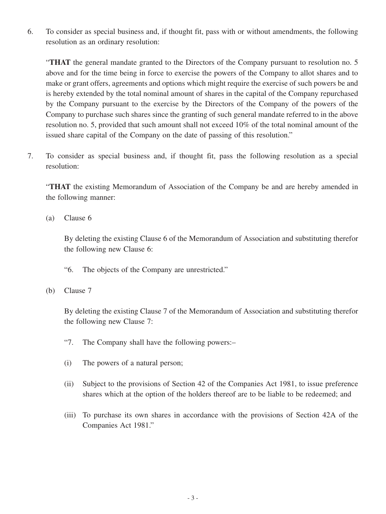6. To consider as special business and, if thought fit, pass with or without amendments, the following resolution as an ordinary resolution:

"**THAT** the general mandate granted to the Directors of the Company pursuant to resolution no. 5 above and for the time being in force to exercise the powers of the Company to allot shares and to make or grant offers, agreements and options which might require the exercise of such powers be and is hereby extended by the total nominal amount of shares in the capital of the Company repurchased by the Company pursuant to the exercise by the Directors of the Company of the powers of the Company to purchase such shares since the granting of such general mandate referred to in the above resolution no. 5, provided that such amount shall not exceed 10% of the total nominal amount of the issued share capital of the Company on the date of passing of this resolution."

7. To consider as special business and, if thought fit, pass the following resolution as a special resolution:

"**THAT** the existing Memorandum of Association of the Company be and are hereby amended in the following manner:

(a) Clause 6

By deleting the existing Clause 6 of the Memorandum of Association and substituting therefor the following new Clause 6:

- "6. The objects of the Company are unrestricted."
- (b) Clause 7

By deleting the existing Clause 7 of the Memorandum of Association and substituting therefor the following new Clause 7:

- "7. The Company shall have the following powers:–
- (i) The powers of a natural person;
- (ii) Subject to the provisions of Section 42 of the Companies Act 1981, to issue preference shares which at the option of the holders thereof are to be liable to be redeemed; and
- (iii) To purchase its own shares in accordance with the provisions of Section 42A of the Companies Act 1981."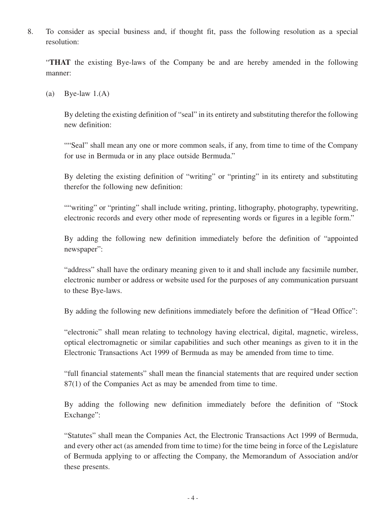8. To consider as special business and, if thought fit, pass the following resolution as a special resolution:

"**THAT** the existing Bye-laws of the Company be and are hereby amended in the following manner:

(a) Bye-law  $1.(A)$ 

By deleting the existing definition of "seal" in its entirety and substituting therefor the following new definition:

""Seal" shall mean any one or more common seals, if any, from time to time of the Company for use in Bermuda or in any place outside Bermuda."

By deleting the existing definition of "writing" or "printing" in its entirety and substituting therefor the following new definition:

""writing" or "printing" shall include writing, printing, lithography, photography, typewriting, electronic records and every other mode of representing words or figures in a legible form."

By adding the following new definition immediately before the definition of "appointed newspaper":

"address" shall have the ordinary meaning given to it and shall include any facsimile number, electronic number or address or website used for the purposes of any communication pursuant to these Bye-laws.

By adding the following new definitions immediately before the definition of "Head Office":

"electronic" shall mean relating to technology having electrical, digital, magnetic, wireless, optical electromagnetic or similar capabilities and such other meanings as given to it in the Electronic Transactions Act 1999 of Bermuda as may be amended from time to time.

"full financial statements" shall mean the financial statements that are required under section 87(1) of the Companies Act as may be amended from time to time.

By adding the following new definition immediately before the definition of "Stock Exchange":

"Statutes" shall mean the Companies Act, the Electronic Transactions Act 1999 of Bermuda, and every other act (as amended from time to time) for the time being in force of the Legislature of Bermuda applying to or affecting the Company, the Memorandum of Association and/or these presents.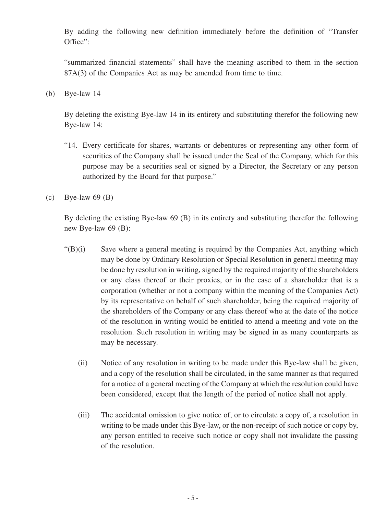By adding the following new definition immediately before the definition of "Transfer Office":

"summarized financial statements" shall have the meaning ascribed to them in the section 87A(3) of the Companies Act as may be amended from time to time.

(b) Bye-law 14

By deleting the existing Bye-law 14 in its entirety and substituting therefor the following new Bye-law 14:

- "14. Every certificate for shares, warrants or debentures or representing any other form of securities of the Company shall be issued under the Seal of the Company, which for this purpose may be a securities seal or signed by a Director, the Secretary or any person authorized by the Board for that purpose."
- (c) Bye-law  $69$  (B)

By deleting the existing Bye-law 69 (B) in its entirety and substituting therefor the following new Bye-law 69 (B):

- $\mathcal{L}(B)(i)$  Save where a general meeting is required by the Companies Act, anything which may be done by Ordinary Resolution or Special Resolution in general meeting may be done by resolution in writing, signed by the required majority of the shareholders or any class thereof or their proxies, or in the case of a shareholder that is a corporation (whether or not a company within the meaning of the Companies Act) by its representative on behalf of such shareholder, being the required majority of the shareholders of the Company or any class thereof who at the date of the notice of the resolution in writing would be entitled to attend a meeting and vote on the resolution. Such resolution in writing may be signed in as many counterparts as may be necessary.
	- (ii) Notice of any resolution in writing to be made under this Bye-law shall be given, and a copy of the resolution shall be circulated, in the same manner as that required for a notice of a general meeting of the Company at which the resolution could have been considered, except that the length of the period of notice shall not apply.
	- (iii) The accidental omission to give notice of, or to circulate a copy of, a resolution in writing to be made under this Bye-law, or the non-receipt of such notice or copy by, any person entitled to receive such notice or copy shall not invalidate the passing of the resolution.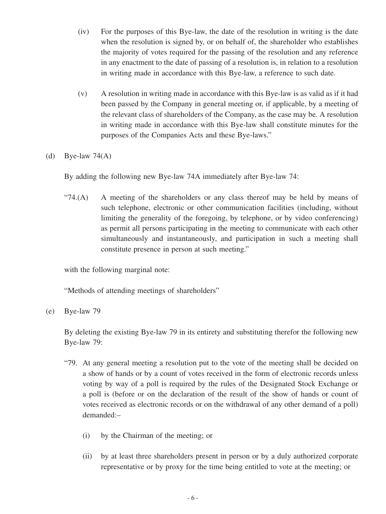- (iv) For the purposes of this Bye-law, the date of the resolution in writing is the date when the resolution is signed by, or on behalf of, the shareholder who establishes the majority of votes required for the passing of the resolution and any reference in any enactment to the date of passing of a resolution is, in relation to a resolution in writing made in accordance with this Bye-law, a reference to such date.
- (v) A resolution in writing made in accordance with this Bye-law is as valid as if it had been passed by the Company in general meeting or, if applicable, by a meeting of the relevant class of shareholders of the Company, as the case may be. A resolution in writing made in accordance with this Bye-law shall constitute minutes for the purposes of the Companies Acts and these Bye-laws."

#### (d) Bye-law  $74(A)$

By adding the following new Bye-law 74A immediately after Bye-law 74:

" $74(A)$  A meeting of the shareholders or any class thereof may be held by means of such telephone, electronic or other communication facilities (including, without limiting the generality of the foregoing, by telephone, or by video conferencing) as permit all persons participating in the meeting to communicate with each other simultaneously and instantaneously, and participation in such a meeting shall constitute presence in person at such meeting."

with the following marginal note:

"Methods of attending meetings of shareholders"

(e) Bye-law 79

By deleting the existing Bye-law 79 in its entirety and substituting therefor the following new Bye-law 79:

- "79. At any general meeting a resolution put to the vote of the meeting shall be decided on a show of hands or by a count of votes received in the form of electronic records unless voting by way of a poll is required by the rules of the Designated Stock Exchange or a poll is (before or on the declaration of the result of the show of hands or count of votes received as electronic records or on the withdrawal of any other demand of a poll) demanded:–
	- (i) by the Chairman of the meeting; or
	- (ii) by at least three shareholders present in person or by a duly authorized corporate representative or by proxy for the time being entitled to vote at the meeting; or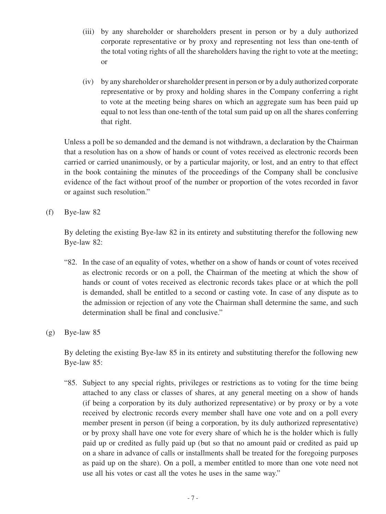- (iii) by any shareholder or shareholders present in person or by a duly authorized corporate representative or by proxy and representing not less than one-tenth of the total voting rights of all the shareholders having the right to vote at the meeting; or
- (iv) by any shareholder or shareholder present in person or by a duly authorized corporate representative or by proxy and holding shares in the Company conferring a right to vote at the meeting being shares on which an aggregate sum has been paid up equal to not less than one-tenth of the total sum paid up on all the shares conferring that right.

Unless a poll be so demanded and the demand is not withdrawn, a declaration by the Chairman that a resolution has on a show of hands or count of votes received as electronic records been carried or carried unanimously, or by a particular majority, or lost, and an entry to that effect in the book containing the minutes of the proceedings of the Company shall be conclusive evidence of the fact without proof of the number or proportion of the votes recorded in favor or against such resolution."

(f) Bye-law 82

By deleting the existing Bye-law 82 in its entirety and substituting therefor the following new Bye-law 82:

- "82. In the case of an equality of votes, whether on a show of hands or count of votes received as electronic records or on a poll, the Chairman of the meeting at which the show of hands or count of votes received as electronic records takes place or at which the poll is demanded, shall be entitled to a second or casting vote. In case of any dispute as to the admission or rejection of any vote the Chairman shall determine the same, and such determination shall be final and conclusive."
- (g) Bye-law 85

By deleting the existing Bye-law 85 in its entirety and substituting therefor the following new Bye-law 85:

"85. Subject to any special rights, privileges or restrictions as to voting for the time being attached to any class or classes of shares, at any general meeting on a show of hands (if being a corporation by its duly authorized representative) or by proxy or by a vote received by electronic records every member shall have one vote and on a poll every member present in person (if being a corporation, by its duly authorized representative) or by proxy shall have one vote for every share of which he is the holder which is fully paid up or credited as fully paid up (but so that no amount paid or credited as paid up on a share in advance of calls or installments shall be treated for the foregoing purposes as paid up on the share). On a poll, a member entitled to more than one vote need not use all his votes or cast all the votes he uses in the same way."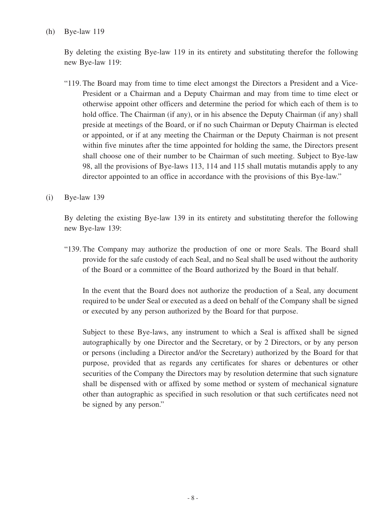### (h) Bye-law 119

By deleting the existing Bye-law 119 in its entirety and substituting therefor the following new Bye-law 119:

- "119. The Board may from time to time elect amongst the Directors a President and a Vice-President or a Chairman and a Deputy Chairman and may from time to time elect or otherwise appoint other officers and determine the period for which each of them is to hold office. The Chairman (if any), or in his absence the Deputy Chairman (if any) shall preside at meetings of the Board, or if no such Chairman or Deputy Chairman is elected or appointed, or if at any meeting the Chairman or the Deputy Chairman is not present within five minutes after the time appointed for holding the same, the Directors present shall choose one of their number to be Chairman of such meeting. Subject to Bye-law 98, all the provisions of Bye-laws 113, 114 and 115 shall mutatis mutandis apply to any director appointed to an office in accordance with the provisions of this Bye-law."
- (i) Bye-law 139

By deleting the existing Bye-law 139 in its entirety and substituting therefor the following new Bye-law 139:

"139. The Company may authorize the production of one or more Seals. The Board shall provide for the safe custody of each Seal, and no Seal shall be used without the authority of the Board or a committee of the Board authorized by the Board in that behalf.

In the event that the Board does not authorize the production of a Seal, any document required to be under Seal or executed as a deed on behalf of the Company shall be signed or executed by any person authorized by the Board for that purpose.

Subject to these Bye-laws, any instrument to which a Seal is affixed shall be signed autographically by one Director and the Secretary, or by 2 Directors, or by any person or persons (including a Director and/or the Secretary) authorized by the Board for that purpose, provided that as regards any certificates for shares or debentures or other securities of the Company the Directors may by resolution determine that such signature shall be dispensed with or affixed by some method or system of mechanical signature other than autographic as specified in such resolution or that such certificates need not be signed by any person."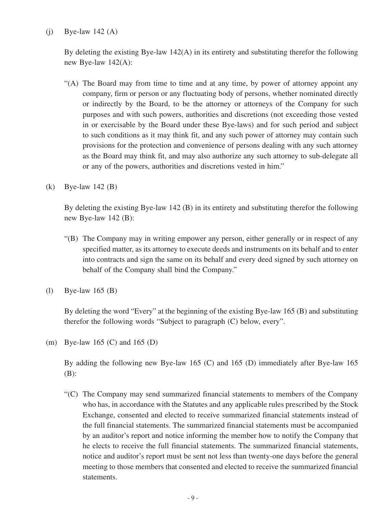## $(i)$  Bye-law 142  $(A)$

By deleting the existing Bye-law 142(A) in its entirety and substituting therefor the following new Bye-law 142(A):

- "(A) The Board may from time to time and at any time, by power of attorney appoint any company, firm or person or any fluctuating body of persons, whether nominated directly or indirectly by the Board, to be the attorney or attorneys of the Company for such purposes and with such powers, authorities and discretions (not exceeding those vested in or exercisable by the Board under these Bye-laws) and for such period and subject to such conditions as it may think fit, and any such power of attorney may contain such provisions for the protection and convenience of persons dealing with any such attorney as the Board may think fit, and may also authorize any such attorney to sub-delegate all or any of the powers, authorities and discretions vested in him."
- (k) Bye-law 142 (B)

By deleting the existing Bye-law 142 (B) in its entirety and substituting therefor the following new Bye-law 142 (B):

- "(B) The Company may in writing empower any person, either generally or in respect of any specified matter, as its attorney to execute deeds and instruments on its behalf and to enter into contracts and sign the same on its behalf and every deed signed by such attorney on behalf of the Company shall bind the Company."
- (l) Bye-law 165 (B)

By deleting the word "Every" at the beginning of the existing Bye-law 165 (B) and substituting therefor the following words "Subject to paragraph (C) below, every".

(m) Bye-law 165 (C) and 165 (D)

By adding the following new Bye-law 165 (C) and 165 (D) immediately after Bye-law 165 (B):

"(C) The Company may send summarized financial statements to members of the Company who has, in accordance with the Statutes and any applicable rules prescribed by the Stock Exchange, consented and elected to receive summarized financial statements instead of the full financial statements. The summarized financial statements must be accompanied by an auditor's report and notice informing the member how to notify the Company that he elects to receive the full financial statements. The summarized financial statements, notice and auditor's report must be sent not less than twenty-one days before the general meeting to those members that consented and elected to receive the summarized financial statements.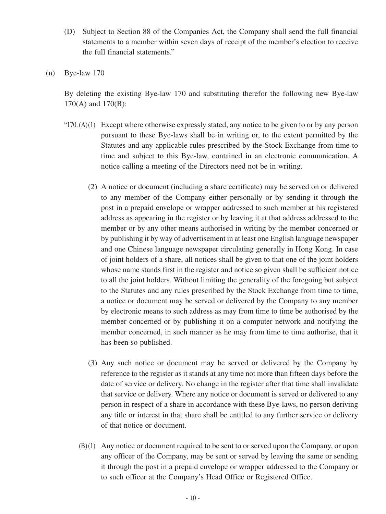- (D) Subject to Section 88 of the Companies Act, the Company shall send the full financial statements to a member within seven days of receipt of the member's election to receive the full financial statements."
- (n) Bye-law 170

By deleting the existing Bye-law 170 and substituting therefor the following new Bye-law 170(A) and 170(B):

- " $170(A)(1)$  Except where otherwise expressly stated, any notice to be given to or by any person pursuant to these Bye-laws shall be in writing or, to the extent permitted by the Statutes and any applicable rules prescribed by the Stock Exchange from time to time and subject to this Bye-law, contained in an electronic communication. A notice calling a meeting of the Directors need not be in writing.
	- (2) A notice or document (including a share certificate) may be served on or delivered to any member of the Company either personally or by sending it through the post in a prepaid envelope or wrapper addressed to such member at his registered address as appearing in the register or by leaving it at that address addressed to the member or by any other means authorised in writing by the member concerned or by publishing it by way of advertisement in at least one English language newspaper and one Chinese language newspaper circulating generally in Hong Kong. In case of joint holders of a share, all notices shall be given to that one of the joint holders whose name stands first in the register and notice so given shall be sufficient notice to all the joint holders. Without limiting the generality of the foregoing but subject to the Statutes and any rules prescribed by the Stock Exchange from time to time, a notice or document may be served or delivered by the Company to any member by electronic means to such address as may from time to time be authorised by the member concerned or by publishing it on a computer network and notifying the member concerned, in such manner as he may from time to time authorise, that it has been so published.
	- (3) Any such notice or document may be served or delivered by the Company by reference to the register as it stands at any time not more than fifteen days before the date of service or delivery. No change in the register after that time shall invalidate that service or delivery. Where any notice or document is served or delivered to any person in respect of a share in accordance with these Bye-laws, no person deriving any title or interest in that share shall be entitled to any further service or delivery of that notice or document.
	- (B)(1) Any notice or document required to be sent to or served upon the Company, or upon any officer of the Company, may be sent or served by leaving the same or sending it through the post in a prepaid envelope or wrapper addressed to the Company or to such officer at the Company's Head Office or Registered Office.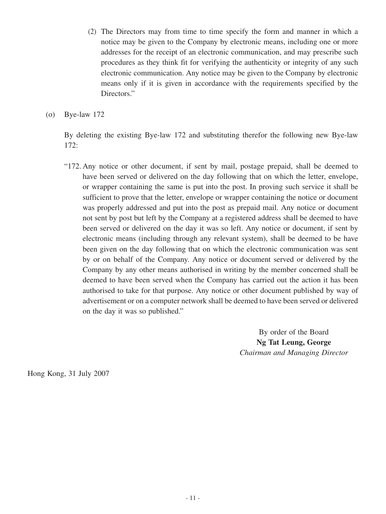(2) The Directors may from time to time specify the form and manner in which a notice may be given to the Company by electronic means, including one or more addresses for the receipt of an electronic communication, and may prescribe such procedures as they think fit for verifying the authenticity or integrity of any such electronic communication. Any notice may be given to the Company by electronic means only if it is given in accordance with the requirements specified by the Directors."

(o) Bye-law 172

By deleting the existing Bye-law 172 and substituting therefor the following new Bye-law 172:

"172. Any notice or other document, if sent by mail, postage prepaid, shall be deemed to have been served or delivered on the day following that on which the letter, envelope, or wrapper containing the same is put into the post. In proving such service it shall be sufficient to prove that the letter, envelope or wrapper containing the notice or document was properly addressed and put into the post as prepaid mail. Any notice or document not sent by post but left by the Company at a registered address shall be deemed to have been served or delivered on the day it was so left. Any notice or document, if sent by electronic means (including through any relevant system), shall be deemed to be have been given on the day following that on which the electronic communication was sent by or on behalf of the Company. Any notice or document served or delivered by the Company by any other means authorised in writing by the member concerned shall be deemed to have been served when the Company has carried out the action it has been authorised to take for that purpose. Any notice or other document published by way of advertisement or on a computer network shall be deemed to have been served or delivered on the day it was so published."

> By order of the Board **Ng Tat Leung, George** *Chairman and Managing Director*

Hong Kong, 31 July 2007